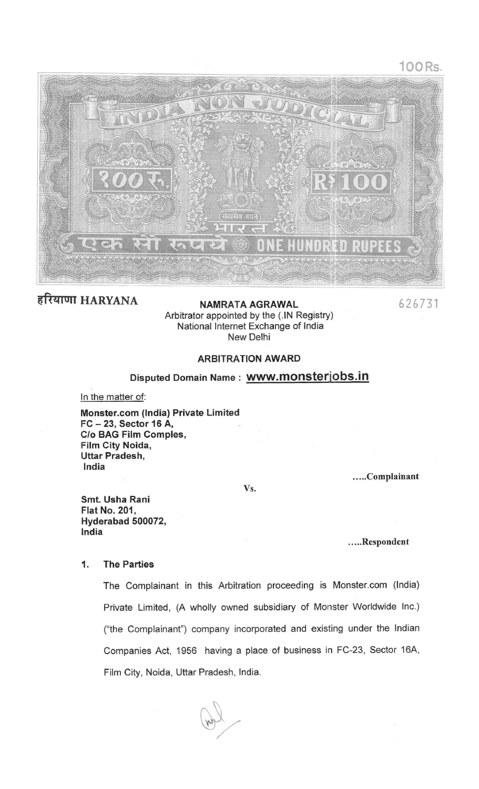



हरियाणा HARYANA

NAMRATA AGRAWAL Arbitrator appointed by the (.IN Registry) National Internet Exchange of India New Delhi

626731

# **ARBITRATION AWARD**

# Disputed Domain Name : WWW.monsterjobs.in

In the matter of:

Monster.com (India) Private Limited FC-23, Sector 16 A, C/o BAG Film Comples, Film City Noida, Uttar Pradesh, India

.....Complainant

Vs.

Smt. Usha Rani **Flat No. 201.** Hyderabad 500072, India

.....Respondent

#### 1. **The Parties**

The Complainant in this Arbitration proceeding is Monster.com (India) Private Limited, (A wholly owned subsidiary of Monster Worldwide Inc.) ("the Complainant") company incorporated and existing under the Indian Companies Act, 1956 having a place of business in FC-23, Sector 16A, Film City, Noida, Uttar Pradesh, India.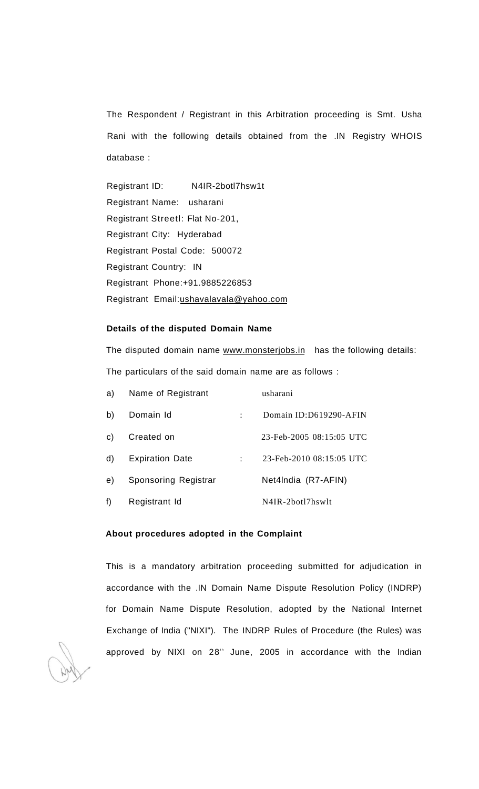The Respondent / Registrant in this Arbitration proceeding is Smt. Usha Rani with the following details obtained from the .IN Registry WHOIS database :

Registrant ID: N4IR-2botl7hsw1t Registrant Name: usharani Registrant Streetl: Flat No-201, Registrant City: Hyderabad Registrant Postal Code: 500072 Registrant Country: IN Registrant Phone:+91.9885226853 Registrant Email:[ushavalavala@yahoo.com](mailto:ushavalavala@yahoo.com)

# **Details of the disputed Domain Name**

The disputed domain name [www.monsterjobs.in](http://www.monsterjobs.in) has the following details: The particulars of the said domain name are as follows :

| a) | Name of Registrant     | usharani                 |
|----|------------------------|--------------------------|
| b) | Domain Id              | Domain ID:D619290-AFIN   |
| c) | Created on             | 23-Feb-2005 08:15:05 UTC |
| d) | <b>Expiration Date</b> | 23-Feb-2010 08:15:05 UTC |
| e) | Sponsoring Registrar   | Net4India (R7-AFIN)      |
| f) | Registrant Id          | N4IR-2botl7hswlt         |

# **About procedures adopted in the Complaint**

This is a mandatory arbitration proceeding submitted for adjudication in accordance with the .IN Domain Name Dispute Resolution Policy (INDRP) for Domain Name Dispute Resolution, adopted by the National Internet Exchange of India ("NIXI"). The INDRP Rules of Procedure (the Rules) was approved by NIXI on 28<sup>th</sup> June, 2005 in accordance with the Indian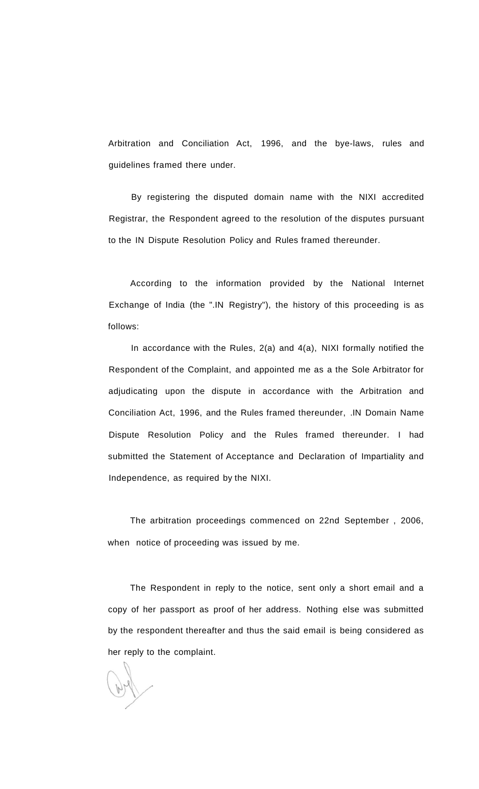Arbitration and Conciliation Act, 1996, and the bye-laws, rules and guidelines framed there under.

By registering the disputed domain name with the NIXI accredited Registrar, the Respondent agreed to the resolution of the disputes pursuant to the IN Dispute Resolution Policy and Rules framed thereunder.

According to the information provided by the National Internet Exchange of India (the ".IN Registry"), the history of this proceeding is as follows:

In accordance with the Rules, 2(a) and 4(a), NIXI formally notified the Respondent of the Complaint, and appointed me as a the Sole Arbitrator for adjudicating upon the dispute in accordance with the Arbitration and Conciliation Act, 1996, and the Rules framed thereunder, .IN Domain Name Dispute Resolution Policy and the Rules framed thereunder. I had submitted the Statement of Acceptance and Declaration of Impartiality and Independence, as required by the NIXI.

The arbitration proceedings commenced on 22nd September , 2006, when notice of proceeding was issued by me.

The Respondent in reply to the notice, sent only a short email and a copy of her passport as proof of her address. Nothing else was submitted by the respondent thereafter and thus the said email is being considered as her reply to the complaint.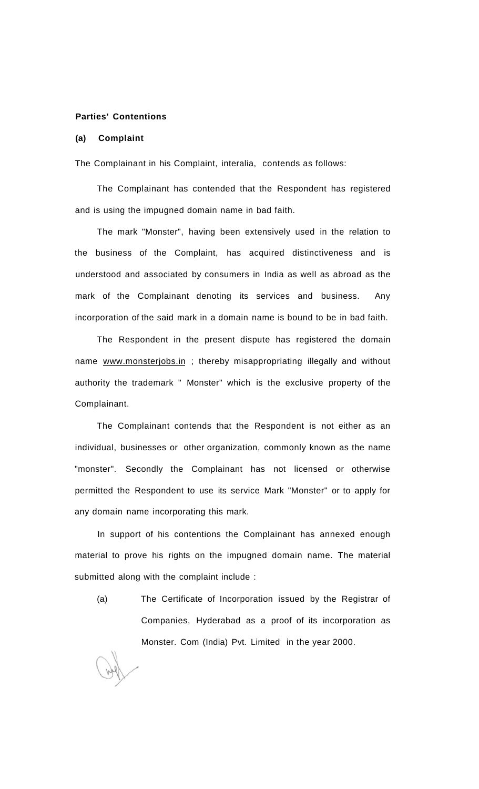# **Parties' Contentions**

## **(a) Complaint**

The Complainant in his Complaint, interalia, contends as follows:

The Complainant has contended that the Respondent has registered and is using the impugned domain name in bad faith.

The mark "Monster", having been extensively used in the relation to the business of the Complaint, has acquired distinctiveness and is understood and associated by consumers in India as well as abroad as the mark of the Complainant denoting its services and business. Any incorporation of the said mark in a domain name is bound to be in bad faith.

The Respondent in the present dispute has registered the domain name [www.monsterjobs.in ;](http://www.monsteriobs.in) thereby misappropriating illegally and without authority the trademark " Monster" which is the exclusive property of the Complainant.

The Complainant contends that the Respondent is not either as an individual, businesses or other organization, commonly known as the name "monster". Secondly the Complainant has not licensed or otherwise permitted the Respondent to use its service Mark "Monster" or to apply for any domain name incorporating this mark.

In support of his contentions the Complainant has annexed enough material to prove his rights on the impugned domain name. The material submitted along with the complaint include :

(a) The Certificate of Incorporation issued by the Registrar of Companies, Hyderabad as a proof of its incorporation as Monster. Com (India) Pvt. Limited in the year 2000.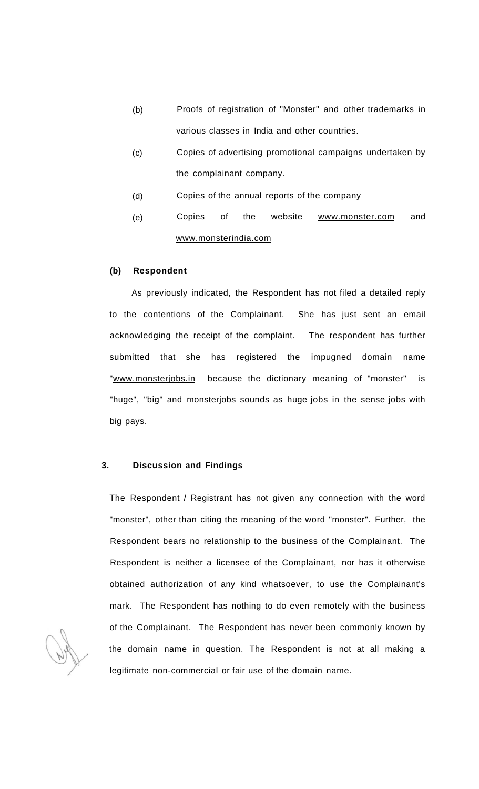- (b) Proofs of registration of "Monster" and other trademarks in various classes in India and other countries.
- (c) Copies of advertising promotional campaigns undertaken by the complainant company.
- (d) Copies of the annual reports of the company
- (e) Copies of the website [www.monster.com a](http://www.monster.com)nd [www.monsterindia.com](http://www.monsterindia.com)

# **(b) Respondent**

As previously indicated, the Respondent has not filed a detailed reply to the contentions of the Complainant. She has just sent an email acknowledging the receipt of the complaint. The respondent has further submitted that she has registered the impugned domain name "[www.monsterjobs.in](http://www.monsterjobs.in) because the dictionary meaning of "monster" is "huge", "big" and monsterjobs sounds as huge jobs in the sense jobs with big pays.

#### **3. Discussion and Findings**

The Respondent / Registrant has not given any connection with the word "monster", other than citing the meaning of the word "monster". Further, the Respondent bears no relationship to the business of the Complainant. The Respondent is neither a licensee of the Complainant, nor has it otherwise obtained authorization of any kind whatsoever, to use the Complainant's mark. The Respondent has nothing to do even remotely with the business of the Complainant. The Respondent has never been commonly known by the domain name in question. The Respondent is not at all making a legitimate non-commercial or fair use of the domain name.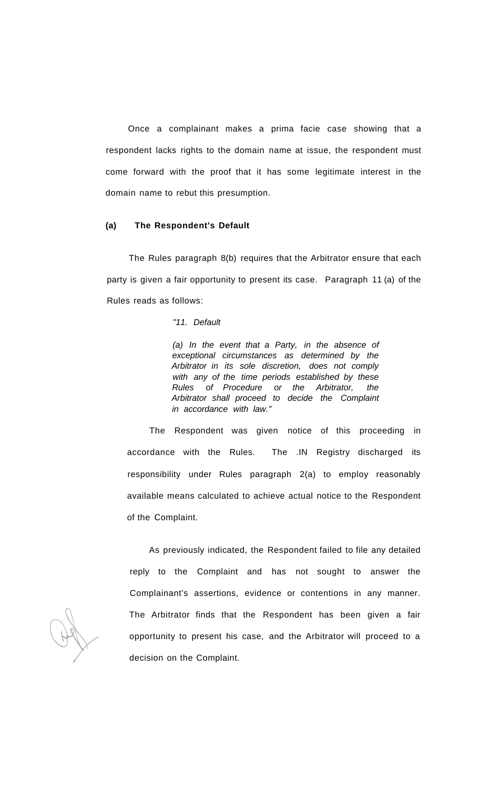Once a complainant makes a prima facie case showing that a respondent lacks rights to the domain name at issue, the respondent must come forward with the proof that it has some legitimate interest in the domain name to rebut this presumption.

#### **(a) The Respondent's Default**

The Rules paragraph 8(b) requires that the Arbitrator ensure that each party is given a fair opportunity to present its case. Paragraph 11 (a) of the Rules reads as follows:

"11. Default

(a) In the event that a Party, in the absence of exceptional circumstances as determined by the Arbitrator in its sole discretion, does not comply with any of the time periods established by these Rules of Procedure or the Arbitrator, the Arbitrator shall proceed to decide the Complaint in accordance with law."

The Respondent was given notice of this proceeding in accordance with the Rules. The .IN Registry discharged its responsibility under Rules paragraph 2(a) to employ reasonably available means calculated to achieve actual notice to the Respondent of the Complaint.

As previously indicated, the Respondent failed to file any detailed reply to the Complaint and has not sought to answer the Complainant's assertions, evidence or contentions in any manner. The Arbitrator finds that the Respondent has been given a fair opportunity to present his case, and the Arbitrator will proceed to a decision on the Complaint.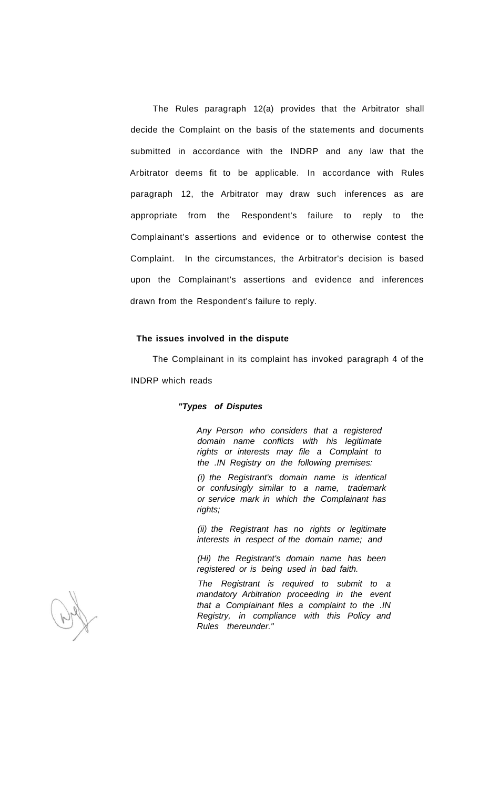The Rules paragraph 12(a) provides that the Arbitrator shall decide the Complaint on the basis of the statements and documents submitted in accordance with the INDRP and any law that the Arbitrator deems fit to be applicable. In accordance with Rules paragraph 12, the Arbitrator may draw such inferences as are appropriate from the Respondent's failure to reply to the Complainant's assertions and evidence or to otherwise contest the Complaint. In the circumstances, the Arbitrator's decision is based upon the Complainant's assertions and evidence and inferences drawn from the Respondent's failure to reply.

### **The issues involved in the dispute**

The Complainant in its complaint has invoked paragraph 4 of the INDRP which reads

### **"Types of Disputes**

Any Person who considers that a registered domain name conflicts with his legitimate rights or interests may file a Complaint to the .IN Registry on the following premises:

(i) the Registrant's domain name is identical or confusingly similar to a name, trademark or service mark in which the Complainant has rights;

(ii) the Registrant has no rights or legitimate interests in respect of the domain name; and

(Hi) the Registrant's domain name has been registered or is being used in bad faith.

The Registrant is required to submit to a mandatory Arbitration proceeding in the event that a Complainant files a complaint to the .IN Registry, in compliance with this Policy and Rules thereunder."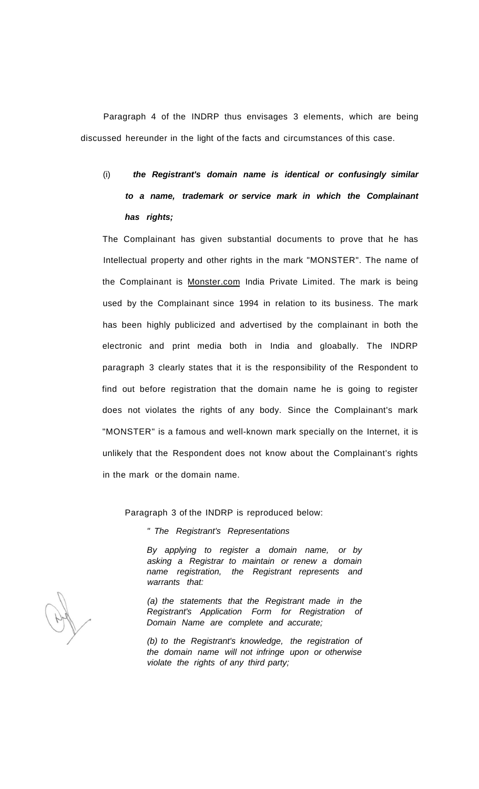Paragraph 4 of the INDRP thus envisages 3 elements, which are being discussed hereunder in the light of the facts and circumstances of this case.

# (i) **the Registrant's domain name is identical or confusingly similar to a name, trademark or service mark in which the Complainant has rights;**

The Complainant has given substantial documents to prove that he has Intellectual property and other rights in the mark "MONSTER". The name of the Complainant is [Monster.com I](http://Monster.com)ndia Private Limited. The mark is being used by the Complainant since 1994 in relation to its business. The mark has been highly publicized and advertised by the complainant in both the electronic and print media both in India and gloabally. The INDRP paragraph 3 clearly states that it is the responsibility of the Respondent to find out before registration that the domain name he is going to register does not violates the rights of any body. Since the Complainant's mark "MONSTER" is a famous and well-known mark specially on the Internet, it is unlikely that the Respondent does not know about the Complainant's rights in the mark or the domain name.

Paragraph 3 of the INDRP is reproduced below:

" The Registrant's Representations

By applying to register a domain name, or by asking a Registrar to maintain or renew a domain name registration, the Registrant represents and warrants that:

(a) the statements that the Registrant made in the Registrant's Application Form for Registration of Domain Name are complete and accurate;

(b) to the Registrant's knowledge, the registration of the domain name will not infringe upon or otherwise violate the rights of any third party;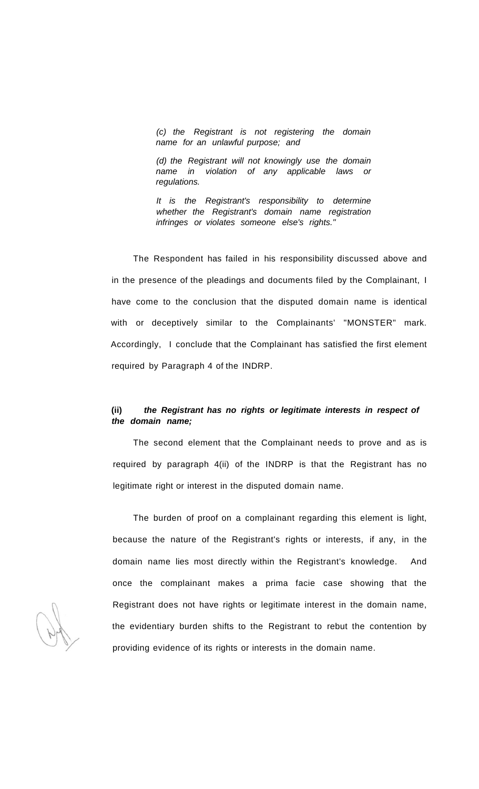(c) the Registrant is not registering the domain name for an unlawful purpose; and

(d) the Registrant will not knowingly use the domain name in violation of any applicable laws or regulations.

It is the Registrant's responsibility to determine whether the Registrant's domain name registration infringes or violates someone else's rights."

The Respondent has failed in his responsibility discussed above and in the presence of the pleadings and documents filed by the Complainant, I have come to the conclusion that the disputed domain name is identical with or deceptively similar to the Complainants' "MONSTER" mark. Accordingly, I conclude that the Complainant has satisfied the first element required by Paragraph 4 of the INDRP.

# **(ii) the Registrant has no rights or legitimate interests in respect of the domain name;**

The second element that the Complainant needs to prove and as is required by paragraph 4(ii) of the INDRP is that the Registrant has no legitimate right or interest in the disputed domain name.

The burden of proof on a complainant regarding this element is light, because the nature of the Registrant's rights or interests, if any, in the domain name lies most directly within the Registrant's knowledge. And once the complainant makes a prima facie case showing that the Registrant does not have rights or legitimate interest in the domain name, the evidentiary burden shifts to the Registrant to rebut the contention by providing evidence of its rights or interests in the domain name.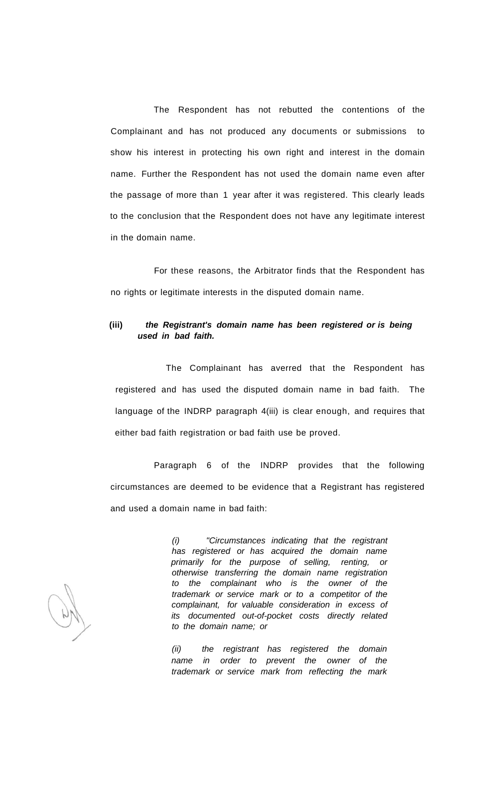The Respondent has not rebutted the contentions of the Complainant and has not produced any documents or submissions to show his interest in protecting his own right and interest in the domain name. Further the Respondent has not used the domain name even after the passage of more than 1 year after it was registered. This clearly leads to the conclusion that the Respondent does not have any legitimate interest in the domain name.

For these reasons, the Arbitrator finds that the Respondent has no rights or legitimate interests in the disputed domain name.

# **(iii) the Registrant's domain name has been registered or is being used in bad faith.**

The Complainant has averred that the Respondent has registered and has used the disputed domain name in bad faith. The language of the INDRP paragraph 4(iii) is clear enough, and requires that either bad faith registration or bad faith use be proved.

Paragraph 6 of the INDRP provides that the following circumstances are deemed to be evidence that a Registrant has registered and used a domain name in bad faith:

> (i) "Circumstances indicating that the registrant has registered or has acquired the domain name primarily for the purpose of selling, renting, or otherwise transferring the domain name registration to the complainant who is the owner of the trademark or service mark or to a competitor of the complainant, for valuable consideration in excess of its documented out-of-pocket costs directly related to the domain name; or

> (ii) the registrant has registered the domain name in order to prevent the owner of the trademark or service mark from reflecting the mark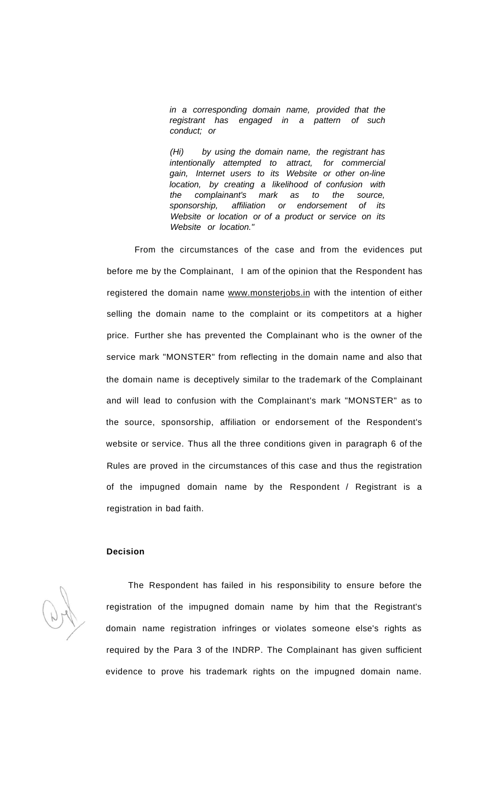in a corresponding domain name, provided that the registrant has engaged in a pattern of such conduct; or

(Hi) by using the domain name, the registrant has intentionally attempted to attract, for commercial gain, Internet users to its Website or other on-line location, by creating a likelihood of confusion with the complainant's mark as to the source, sponsorship, affiliation or endorsement of its Website or location or of a product or service on its Website or location."

From the circumstances of the case and from the evidences put before me by the Complainant, I am of the opinion that the Respondent has registered the domain name [www.monsterjobs.in](http://www.monsterjobs.in) with the intention of either selling the domain name to the complaint or its competitors at a higher price. Further she has prevented the Complainant who is the owner of the service mark "MONSTER" from reflecting in the domain name and also that the domain name is deceptively similar to the trademark of the Complainant and will lead to confusion with the Complainant's mark "MONSTER" as to the source, sponsorship, affiliation or endorsement of the Respondent's website or service. Thus all the three conditions given in paragraph 6 of the Rules are proved in the circumstances of this case and thus the registration of the impugned domain name by the Respondent / Registrant is a registration in bad faith.

## **Decision**

The Respondent has failed in his responsibility to ensure before the registration of the impugned domain name by him that the Registrant's domain name registration infringes or violates someone else's rights as required by the Para 3 of the INDRP. The Complainant has given sufficient evidence to prove his trademark rights on the impugned domain name.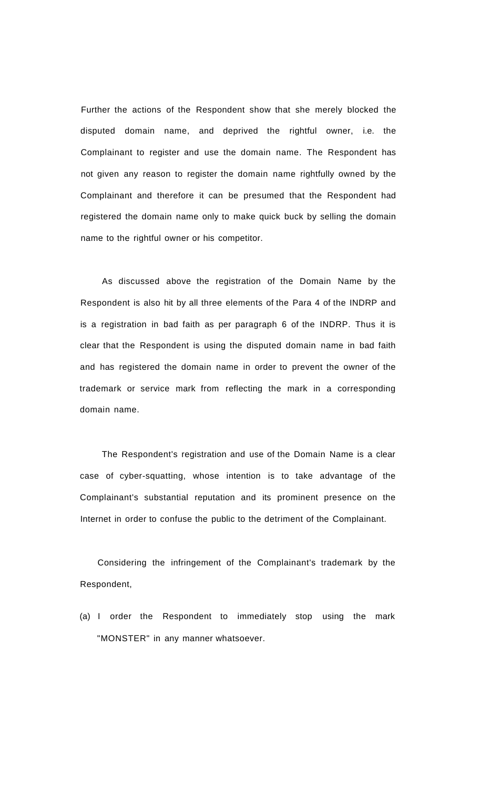Further the actions of the Respondent show that she merely blocked the disputed domain name, and deprived the rightful owner, i.e. the Complainant to register and use the domain name. The Respondent has not given any reason to register the domain name rightfully owned by the Complainant and therefore it can be presumed that the Respondent had registered the domain name only to make quick buck by selling the domain name to the rightful owner or his competitor.

As discussed above the registration of the Domain Name by the Respondent is also hit by all three elements of the Para 4 of the INDRP and is a registration in bad faith as per paragraph 6 of the INDRP. Thus it is clear that the Respondent is using the disputed domain name in bad faith and has registered the domain name in order to prevent the owner of the trademark or service mark from reflecting the mark in a corresponding domain name.

The Respondent's registration and use of the Domain Name is a clear case of cyber-squatting, whose intention is to take advantage of the Complainant's substantial reputation and its prominent presence on the Internet in order to confuse the public to the detriment of the Complainant.

Considering the infringement of the Complainant's trademark by the Respondent,

(a) I order the Respondent to immediately stop using the mark "MONSTER" in any manner whatsoever.